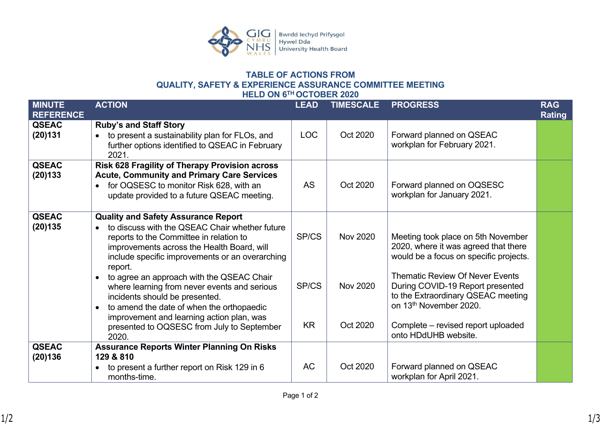

## **TABLE OF ACTIONS FROM QUALITY, SAFETY & EXPERIENCE ASSURANCE COMMITTEE MEETING HELD ON 6TH OCTOBER 2020**

| <b>MINUTE</b><br><b>REFERENCE</b> | <b>ACTION</b>                                                                                                                                                                                                                                                    | <b>LEAD</b> | <b>TIMESCALE</b> | <b>PROGRESS</b>                                                                                                                            | <b>RAG</b><br><b>Rating</b> |
|-----------------------------------|------------------------------------------------------------------------------------------------------------------------------------------------------------------------------------------------------------------------------------------------------------------|-------------|------------------|--------------------------------------------------------------------------------------------------------------------------------------------|-----------------------------|
| <b>QSEAC</b><br>(20)131           | <b>Ruby's and Staff Story</b><br>to present a sustainability plan for FLOs, and<br>further options identified to QSEAC in February<br>2021.                                                                                                                      | <b>LOC</b>  | Oct 2020         | Forward planned on QSEAC<br>workplan for February 2021.                                                                                    |                             |
| <b>QSEAC</b><br>(20)133           | Risk 628 Fragility of Therapy Provision across<br><b>Acute, Community and Primary Care Services</b><br>for OQSESC to monitor Risk 628, with an<br>update provided to a future QSEAC meeting.                                                                     | <b>AS</b>   | Oct 2020         | Forward planned on OQSESC<br>workplan for January 2021.                                                                                    |                             |
| <b>QSEAC</b><br>(20)135           | <b>Quality and Safety Assurance Report</b><br>to discuss with the QSEAC Chair whether future<br>$\bullet$<br>reports to the Committee in relation to<br>improvements across the Health Board, will<br>include specific improvements or an overarching<br>report. | SP/CS       | <b>Nov 2020</b>  | Meeting took place on 5th November<br>2020, where it was agreed that there<br>would be a focus on specific projects.                       |                             |
|                                   | to agree an approach with the QSEAC Chair<br>$\bullet$<br>where learning from never events and serious<br>incidents should be presented.<br>to amend the date of when the orthopaedic<br>$\bullet$<br>improvement and learning action plan, was                  | SP/CS       | <b>Nov 2020</b>  | <b>Thematic Review Of Never Events</b><br>During COVID-19 Report presented<br>to the Extraordinary QSEAC meeting<br>on 13th November 2020. |                             |
|                                   | presented to OQSESC from July to September<br>2020.                                                                                                                                                                                                              | <b>KR</b>   | Oct 2020         | Complete – revised report uploaded<br>onto HDdUHB website.                                                                                 |                             |
| <b>QSEAC</b><br>(20)136           | <b>Assurance Reports Winter Planning On Risks</b><br>129 & 810                                                                                                                                                                                                   |             |                  |                                                                                                                                            |                             |
|                                   | to present a further report on Risk 129 in 6<br>$\bullet$<br>months-time.                                                                                                                                                                                        | AC          | Oct 2020         | Forward planned on QSEAC<br>workplan for April 2021.                                                                                       |                             |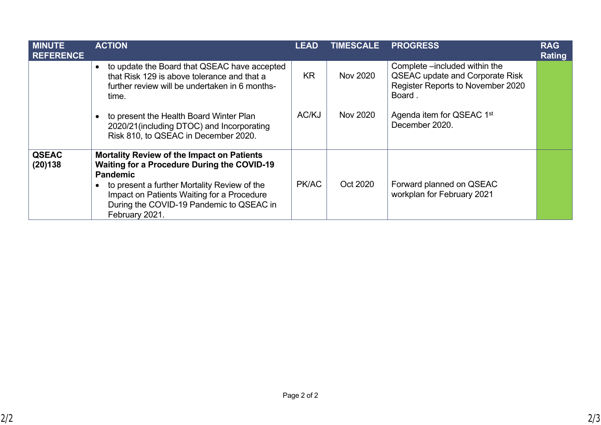| <b>MINUTE</b><br><b>REFERENCE</b> | <b>ACTION</b>                                                                                                                                                                                                                                                                                       | <b>LEAD</b> | TIMESCALE | <b>PROGRESS</b>                                                                                                        | <b>RAG</b><br><b>Rating</b> |
|-----------------------------------|-----------------------------------------------------------------------------------------------------------------------------------------------------------------------------------------------------------------------------------------------------------------------------------------------------|-------------|-----------|------------------------------------------------------------------------------------------------------------------------|-----------------------------|
|                                   | to update the Board that QSEAC have accepted<br>$\bullet$<br>that Risk 129 is above tolerance and that a<br>further review will be undertaken in 6 months-<br>time.                                                                                                                                 | <b>KR</b>   | Nov 2020  | Complete -included within the<br><b>QSEAC update and Corporate Risk</b><br>Register Reports to November 2020<br>Board. |                             |
|                                   | to present the Health Board Winter Plan<br>$\bullet$<br>2020/21 (including DTOC) and Incorporating<br>Risk 810, to QSEAC in December 2020.                                                                                                                                                          | AC/KJ       | Nov 2020  | Agenda item for QSEAC 1st<br>December 2020.                                                                            |                             |
| <b>QSEAC</b><br>(20)138           | <b>Mortality Review of the Impact on Patients</b><br><b>Waiting for a Procedure During the COVID-19</b><br><b>Pandemic</b><br>to present a further Mortality Review of the<br>$\bullet$<br>Impact on Patients Waiting for a Procedure<br>During the COVID-19 Pandemic to QSEAC in<br>February 2021. | PK/AC       | Oct 2020  | Forward planned on QSEAC<br>workplan for February 2021                                                                 |                             |